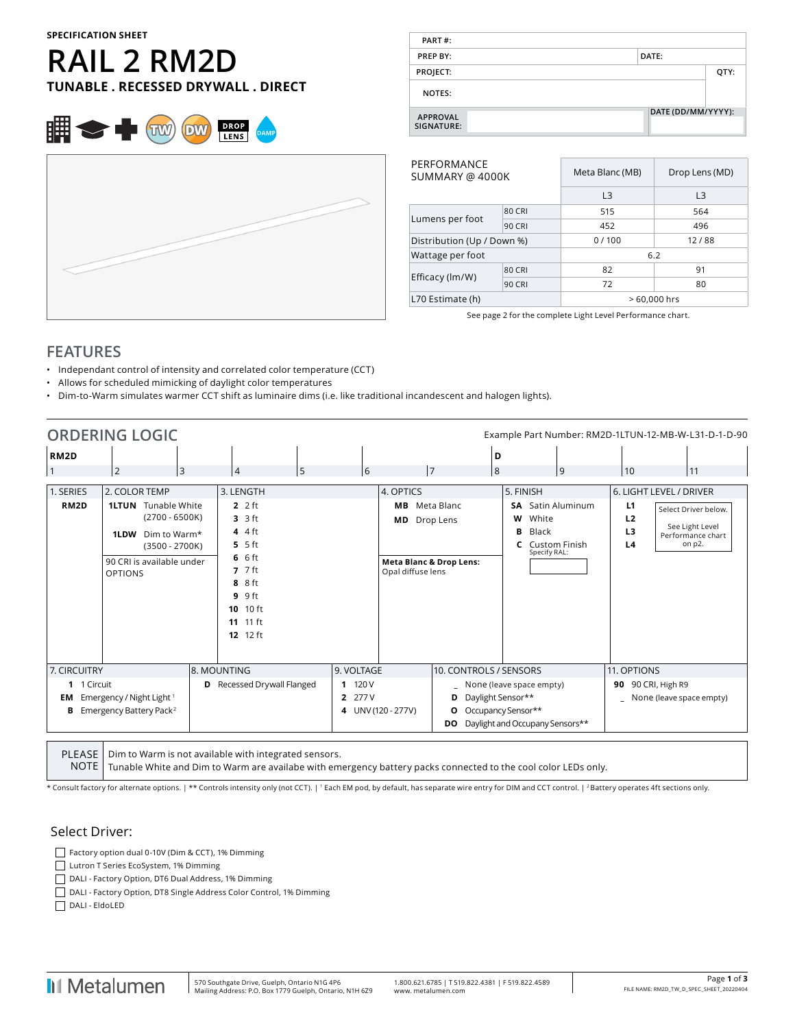#### **SPECIFICATION SHEET**

# **RAIL 2 RM2D TUNABLE . RECESSED DRYWALL . DIRECT**



| PART#:                        |                    |      |
|-------------------------------|--------------------|------|
| PREP BY:                      | DATE:              |      |
| PROJECT:                      |                    | QTY: |
| NOTES:                        |                    |      |
| <b>APPROVAL</b><br>SIGNATURE: | DATE (DD/MM/YYYY): |      |

| PERFORMANCE<br>SUMMARY @ 4000K |               | Meta Blanc (MB) | Drop Lens (MD) |  |  |  |
|--------------------------------|---------------|-----------------|----------------|--|--|--|
|                                |               | L <sub>3</sub>  | L <sub>3</sub> |  |  |  |
|                                | <b>80 CRI</b> | 515             | 564            |  |  |  |
| Lumens per foot                | <b>90 CRI</b> | 452             | 496            |  |  |  |
| Distribution (Up / Down %)     |               | 0/100           | 12/88          |  |  |  |
| Wattage per foot               |               | 6.2             |                |  |  |  |
|                                | <b>80 CRI</b> | 82              | 91             |  |  |  |
| Efficacy (lm/W)                | <b>90 CRI</b> | 72              | 80             |  |  |  |
| L70 Estimate (h)               |               |                 | > 60,000 hrs   |  |  |  |

See page 2 for the complete Light Level Performance chart.

## **FEATURES**

- Independant control of intensity and correlated color temperature (CCT)
- Allows for scheduled mimicking of daylight color temperatures
- Dim-to-Warm simulates warmer CCT shift as luminaire dims (i.e. like traditional incandescent and halogen lights).

|                                | <b>ORDERING LOGIC</b>                                                                                       |              |                                                                                                               |                                                |                                     |                                      |                                                                                                        |                                                 |                                                    | Example Part Number: RM2D-1LTUN-12-MB-W-L31-D-1-D-90 |
|--------------------------------|-------------------------------------------------------------------------------------------------------------|--------------|---------------------------------------------------------------------------------------------------------------|------------------------------------------------|-------------------------------------|--------------------------------------|--------------------------------------------------------------------------------------------------------|-------------------------------------------------|----------------------------------------------------|------------------------------------------------------|
| RM <sub>2</sub> D              |                                                                                                             |              |                                                                                                               |                                                |                                     |                                      | D                                                                                                      |                                                 |                                                    |                                                      |
|                                | $\overline{2}$                                                                                              | <sub>3</sub> | $\overline{4}$                                                                                                | 6<br>5                                         |                                     | 7                                    | 8                                                                                                      | 9                                               | 10                                                 | 11                                                   |
| 1. SERIES<br>RM <sub>2</sub> D | 2. COLOR TEMP<br><b>1LTUN</b> Tunable White                                                                 |              | 3. LENGTH<br>$22$ ft                                                                                          |                                                | 4. OPTICS                           | <b>MB</b> Meta Blanc                 | 5. FINISH                                                                                              | <b>SA</b> Satin Aluminum                        | L1                                                 | 6. LIGHT LEVEL / DRIVER<br>Select Driver below.      |
|                                | $(2700 - 6500K)$<br>Dim to Warm*<br>1LDW<br>$(3500 - 2700K)$<br>90 CRI is available under<br><b>OPTIONS</b> |              | $3.3$ ft<br>44<br>$5.5$ ft<br>66<br>$7.7$ ft<br>8 8 ft<br>$9.9$ ft<br>10 10 ft<br>11 11 ft<br><b>12</b> 12 ft |                                                | <b>MD</b><br>Opal diffuse lens      | Drop Lens<br>Meta Blanc & Drop Lens: | w<br>в<br>C                                                                                            | White<br>Black<br>Custom Finish<br>Specify RAL: | L <sub>2</sub><br>L <sub>3</sub><br>L <sub>4</sub> | See Light Level<br>Performance chart<br>on p2.       |
| 7. CIRCUITRY                   |                                                                                                             | 8. MOUNTING  |                                                                                                               | 9. VOLTAGE                                     |                                     | 10. CONTROLS / SENSORS               |                                                                                                        |                                                 | 11. OPTIONS                                        |                                                      |
| 1 1 Circuit<br>EM<br>в         | Emergency / Night Light <sup>1</sup><br>Emergency Battery Pack <sup>2</sup>                                 |              | <b>D</b> Recessed Drywall Flanged                                                                             | 120 V<br>$\mathbf{1}$<br>277 V<br>$\mathbf{2}$ | D<br>4 UNV (120 - 277V)<br>O<br>DO. |                                      | None (leave space empty)<br>Daylight Sensor**<br>Occupancy Sensor**<br>Daylight and Occupany Sensors** |                                                 | 90 90 CRI, High R9                                 | _ None (leave space empty)                           |

PLEASE Dim to Warm is not available with integrated sensors.

NOTE Tunable White and Dim to Warm are availabe with emergency battery packs connected to the cool color LEDs only.

\* Consult factory for alternate options. | \*\* Controls intensity only (not CCT). | 1 Each EM pod, by default, has separate wire entry for DIM and CCT control. | 2 Battery operates 4ft sections only.

#### Select Driver:

Factory option dual 0-10V (Dim & CCT), 1% Dimming

Lutron T Series EcoSystem, 1% Dimming

- DALI Factory Option, DT6 Dual Address, 1% Dimming
- DALI Factory Option, DT8 Single Address Color Control, 1% Dimming

DALI - EldoLED

**I**I Metalumen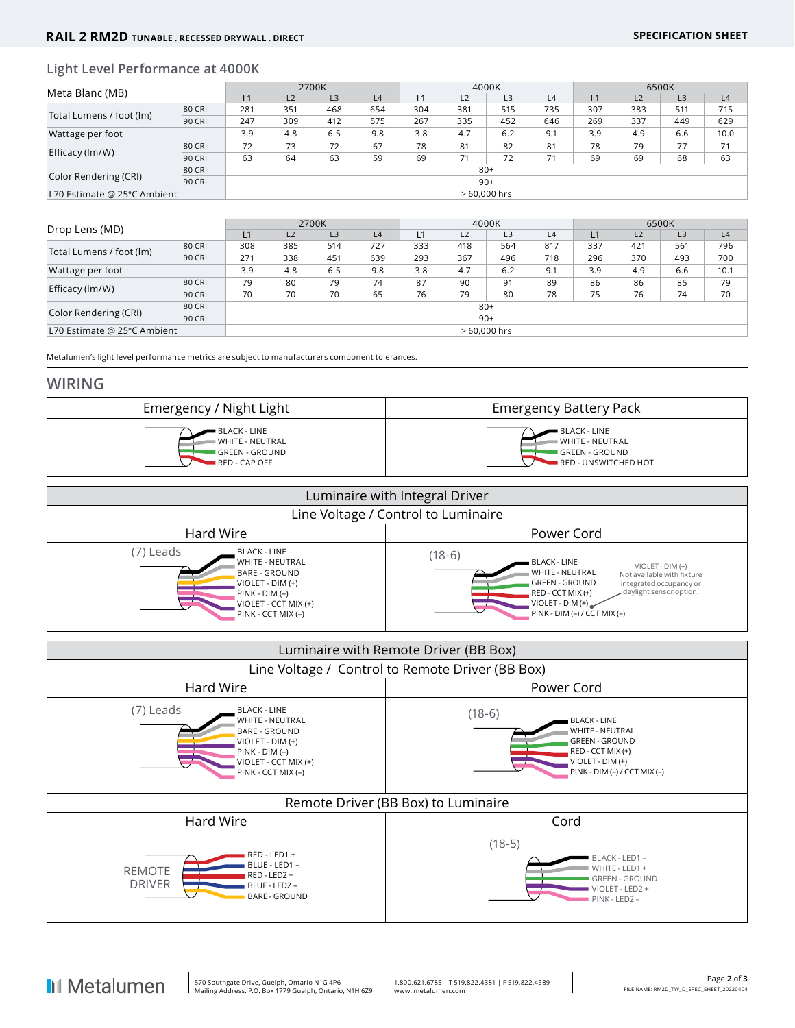### **Light Level Performance at 4000K**

| Meta Blanc (MB)             |        |               |     | 2700K          |     | 4000K |     |     |     | 6500K |     |                |      |
|-----------------------------|--------|---------------|-----|----------------|-----|-------|-----|-----|-----|-------|-----|----------------|------|
|                             |        | L1            | L2  | L <sub>3</sub> | L4  |       | L2  | L3  | L4  |       | L2  | L <sub>3</sub> | L4   |
| Total Lumens / foot (lm)    | 80 CRI | 281           | 351 | 468            | 654 | 304   | 381 | 515 | 735 | 307   | 383 | 511            | 715  |
|                             | 90 CRI | 247           | 309 | 412            | 575 | 267   | 335 | 452 | 646 | 269   | 337 | 449            | 629  |
| Wattage per foot            |        | 3.9           | 4.8 | 6.5            | 9.8 | 3.8   | 4.7 | 6.2 | 9.1 | 3.9   | 4.9 | 6.6            | 10.0 |
| Efficacy (lm/W)             | 80 CRI | 72            | 73  | 72             | 67  | 78    | 81  | 82  | 81  | 78    | 79  | 77             | 71   |
|                             | 90 CRI | 63            | 64  | 63             | 59  | 69    | 71  | 72  | 71  | 69    | 69  | 68             | 63   |
|                             | 80 CRI | $80+$         |     |                |     |       |     |     |     |       |     |                |      |
| Color Rendering (CRI)       | 90 CRI | $90+$         |     |                |     |       |     |     |     |       |     |                |      |
| L70 Estimate @ 25°C Ambient |        | $>60.000$ hrs |     |                |     |       |     |     |     |       |     |                |      |

|                             |        |                | 2700K          |     |     | 4000K          |     |     |     | 6500K          |     |     |      |
|-----------------------------|--------|----------------|----------------|-----|-----|----------------|-----|-----|-----|----------------|-----|-----|------|
| Drop Lens (MD)              | L1     | L <sub>2</sub> | L <sub>3</sub> | L4  |     | L <sub>2</sub> | L3  | L4  | L1  | L <sub>2</sub> | L3  | L4  |      |
| Total Lumens / foot (lm)    | 80 CRI | 308            | 385            | 514 | 727 | 333            | 418 | 564 | 817 | 337            | 421 | 561 | 796  |
|                             | 90 CRI | 271            | 338            | 451 | 639 | 293            | 367 | 496 | 718 | 296            | 370 | 493 | 700  |
| Wattage per foot            |        | 3.9            | 4.8            | 6.5 | 9.8 | 3.8            | 4.7 | 6.2 | 9.1 | 3.9            | 4.9 | 6.6 | 10.1 |
|                             | 80 CRI | 79             | 80             | 79  | 74  | 87             | 90  | 91  | 89  | 86             | 86  | 85  | 79   |
| Efficacy (lm/W)             | 90 CRI | 70             | 70             | 70  | 65  | 76             | 79  | 80  | 78  | 75             | 76  | 74  | 70   |
|                             | 80 CRI | $80+$          |                |     |     |                |     |     |     |                |     |     |      |
| Color Rendering (CRI)       | 90 CRI | $90+$          |                |     |     |                |     |     |     |                |     |     |      |
| L70 Estimate @ 25°C Ambient |        | $>60.000$ hrs  |                |     |     |                |     |     |     |                |     |     |      |

Metalumen's light level performance metrics are subject to manufacturers component tolerances.

#### **WIRING**



| Luminaire with Integral Driver                                                                                                                     |                                                                                                                                                                                                                                                             |  |  |  |  |  |  |  |
|----------------------------------------------------------------------------------------------------------------------------------------------------|-------------------------------------------------------------------------------------------------------------------------------------------------------------------------------------------------------------------------------------------------------------|--|--|--|--|--|--|--|
| Line Voltage / Control to Luminaire                                                                                                                |                                                                                                                                                                                                                                                             |  |  |  |  |  |  |  |
| Hard Wire                                                                                                                                          | Power Cord                                                                                                                                                                                                                                                  |  |  |  |  |  |  |  |
| (7) Leads<br>BLACK - LINE<br>WHITE - NEUTRAL<br>BARE - GROUND<br>VIOLET - DIM (+)<br>$PINK - DIM(-)$<br>VIOLET - CCT MIX (+)<br>PINK - CCT MIX (-) | $(18-6)$<br>BLACK - LINE<br>$VIOLET - DIM (+)$<br><b>WHITE - NEUTRAL</b><br>Not available with fixture<br>GREEN - GROUND<br>integrated occupancy or<br>daylight sensor option.<br>RED - CCT MIX (+)<br>$VIOLET - DIM (+)$<br>$PINK - DIM (-) / CCT MIX (-)$ |  |  |  |  |  |  |  |

|                                                                                                                                                                    | Luminaire with Remote Driver (BB Box)                                                                                                                         |  |  |  |  |  |  |  |  |  |
|--------------------------------------------------------------------------------------------------------------------------------------------------------------------|---------------------------------------------------------------------------------------------------------------------------------------------------------------|--|--|--|--|--|--|--|--|--|
| Line Voltage / Control to Remote Driver (BB Box)                                                                                                                   |                                                                                                                                                               |  |  |  |  |  |  |  |  |  |
| Hard Wire                                                                                                                                                          | Power Cord                                                                                                                                                    |  |  |  |  |  |  |  |  |  |
| $(7)$ Leads<br><b>BLACK - LINE</b><br>WHITE - NEUTRAL<br><b>BARE - GROUND</b><br>VIOLET - DIM (+)<br>$PINK - DIM(-)$<br>VIOLET - CCT MIX (+)<br>PINK - CCT MIX (-) | $(18-6)$<br><b>BLACK - LINE</b><br><b>WHITE - NEUTRAL</b><br><b>GREEN - GROUND</b><br>RED - CCT MIX (+)<br>VIOLET - DIM (+)<br>$PINK - DIM (-) / CCT MIX (-)$ |  |  |  |  |  |  |  |  |  |
|                                                                                                                                                                    | Remote Driver (BB Box) to Luminaire                                                                                                                           |  |  |  |  |  |  |  |  |  |
| Hard Wire                                                                                                                                                          | Cord                                                                                                                                                          |  |  |  |  |  |  |  |  |  |
| RED - LED1 +<br>BLUE - LED1 -<br><b>REMOTE</b><br>RED - LED2 +<br><b>DRIVER</b><br>BLUE - LED2 -<br><b>BARE - GROUND</b>                                           | $(18-5)$<br>BLACK - LED1 -<br>WHITE - LED1 +<br><b>GREEN - GROUND</b><br>VIOLET - LED2 +<br>PINK - LED2 -                                                     |  |  |  |  |  |  |  |  |  |

I